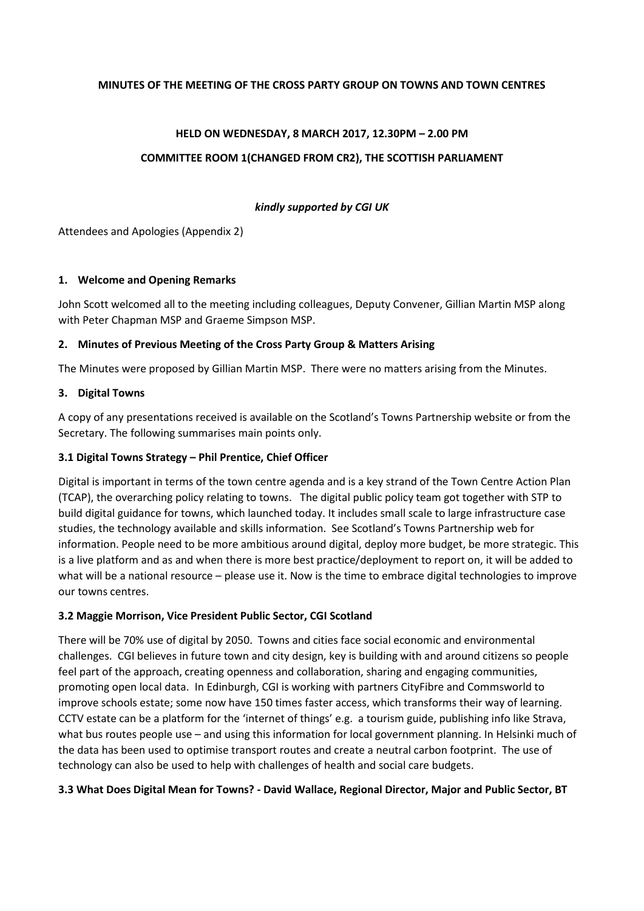#### **MINUTES OF THE MEETING OF THE CROSS PARTY GROUP ON TOWNS AND TOWN CENTRES**

#### **HELD ON WEDNESDAY, 8 MARCH 2017, 12.30PM – 2.00 PM**

#### **COMMITTEE ROOM 1(CHANGED FROM CR2), THE SCOTTISH PARLIAMENT**

#### *kindly supported by CGI UK*

Attendees and Apologies (Appendix 2)

#### **1. Welcome and Opening Remarks**

John Scott welcomed all to the meeting including colleagues, Deputy Convener, Gillian Martin MSP along with Peter Chapman MSP and Graeme Simpson MSP.

#### **2. Minutes of Previous Meeting of the Cross Party Group & Matters Arising**

The Minutes were proposed by Gillian Martin MSP. There were no matters arising from the Minutes.

#### **3. Digital Towns**

A copy of any presentations received is available on the Scotland's Towns Partnership website or from the Secretary. The following summarises main points only.

#### **3.1 Digital Towns Strategy – Phil Prentice, Chief Officer**

Digital is important in terms of the town centre agenda and is a key strand of the Town Centre Action Plan (TCAP), the overarching policy relating to towns. The digital public policy team got together with STP to build digital guidance for towns, which launched today. It includes small scale to large infrastructure case studies, the technology available and skills information. See Scotland's Towns Partnership web for information. People need to be more ambitious around digital, deploy more budget, be more strategic. This is a live platform and as and when there is more best practice/deployment to report on, it will be added to what will be a national resource – please use it. Now is the time to embrace digital technologies to improve our towns centres.

#### **3.2 Maggie Morrison, Vice President Public Sector, CGI Scotland**

There will be 70% use of digital by 2050. Towns and cities face social economic and environmental challenges. CGI believes in future town and city design, key is building with and around citizens so people feel part of the approach, creating openness and collaboration, sharing and engaging communities, promoting open local data. In Edinburgh, CGI is working with partners CityFibre and Commsworld to improve schools estate; some now have 150 times faster access, which transforms their way of learning. CCTV estate can be a platform for the 'internet of things' e.g. a tourism guide, publishing info like Strava, what bus routes people use – and using this information for local government planning. In Helsinki much of the data has been used to optimise transport routes and create a neutral carbon footprint. The use of technology can also be used to help with challenges of health and social care budgets.

#### **3.3 What Does Digital Mean for Towns? - David Wallace, Regional Director, Major and Public Sector, BT**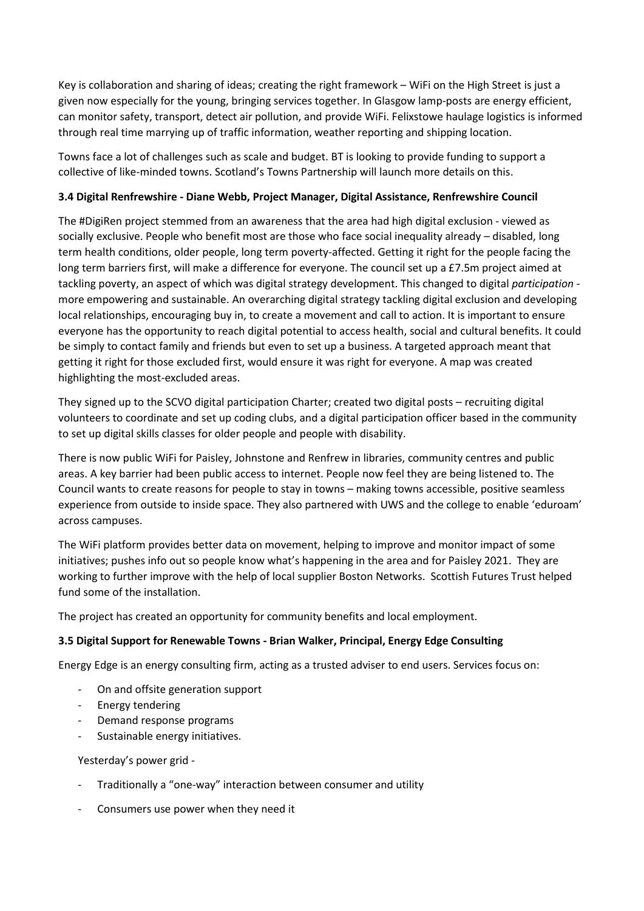Key is collaboration and sharing of ideas; creating the right framework – WiFi on the High Street is just a given now especially for the young, bringing services together. In Glasgow lamp-posts are energy efficient, can monitor safety, transport, detect air pollution, and provide WiFi. Felixstowe haulage logistics is informed through real time marrying up of traffic information, weather reporting and shipping location.

Towns face a lot of challenges such as scale and budget. BT is looking to provide funding to support a collective of like-minded towns. Scotland's Towns Partnership will launch more details on this.

## **3.4 Digital Renfrewshire - Diane Webb, Project Manager, Digital Assistance, Renfrewshire Council**

The #DigiRen project stemmed from an awareness that the area had high digital exclusion - viewed as socially exclusive. People who benefit most are those who face social inequality already – disabled, long term health conditions, older people, long term poverty-affected. Getting it right for the people facing the long term barriers first, will make a difference for everyone. The council set up a £7.5m project aimed at tackling poverty, an aspect of which was digital strategy development. This changed to digital *participation* more empowering and sustainable. An overarching digital strategy tackling digital exclusion and developing local relationships, encouraging buy in, to create a movement and call to action. It is important to ensure everyone has the opportunity to reach digital potential to access health, social and cultural benefits. It could be simply to contact family and friends but even to set up a business. A targeted approach meant that getting it right for those excluded first, would ensure it was right for everyone. A map was created highlighting the most-excluded areas.

They signed up to the SCVO digital participation Charter; created two digital posts – recruiting digital volunteers to coordinate and set up coding clubs, and a digital participation officer based in the community to set up digital skills classes for older people and people with disability.

There is now public WiFi for Paisley, Johnstone and Renfrew in libraries, community centres and public areas. A key barrier had been public access to internet. People now feel they are being listened to. The Council wants to create reasons for people to stay in towns – making towns accessible, positive seamless experience from outside to inside space. They also partnered with UWS and the college to enable 'eduroam' across campuses.

The WiFi platform provides better data on movement, helping to improve and monitor impact of some initiatives; pushes info out so people know what's happening in the area and for Paisley 2021. They are working to further improve with the help of local supplier Boston Networks. Scottish Futures Trust helped fund some of the installation.

The project has created an opportunity for community benefits and local employment.

## **3.5 Digital Support for Renewable Towns - Brian Walker, Principal, Energy Edge Consulting**

Energy Edge is an energy consulting firm, acting as a trusted adviser to end users. Services focus on:

- On and offsite generation support
- Energy tendering
- Demand response programs
- Sustainable energy initiatives.

Yesterday's power grid -

- Traditionally a "one-way" interaction between consumer and utility
- Consumers use power when they need it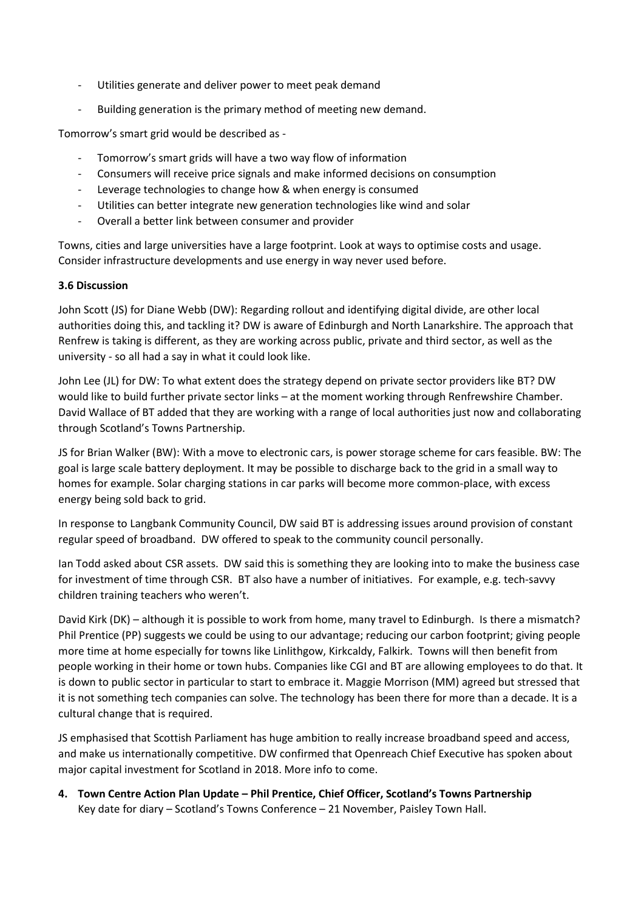- Utilities generate and deliver power to meet peak demand
- Building generation is the primary method of meeting new demand.

Tomorrow's smart grid would be described as -

- Tomorrow's smart grids will have a two way flow of information
- Consumers will receive price signals and make informed decisions on consumption
- Leverage technologies to change how & when energy is consumed
- Utilities can better integrate new generation technologies like wind and solar
- Overall a better link between consumer and provider

Towns, cities and large universities have a large footprint. Look at ways to optimise costs and usage. Consider infrastructure developments and use energy in way never used before.

#### **3.6 Discussion**

John Scott (JS) for Diane Webb (DW): Regarding rollout and identifying digital divide, are other local authorities doing this, and tackling it? DW is aware of Edinburgh and North Lanarkshire. The approach that Renfrew is taking is different, as they are working across public, private and third sector, as well as the university - so all had a say in what it could look like.

John Lee (JL) for DW: To what extent does the strategy depend on private sector providers like BT? DW would like to build further private sector links – at the moment working through Renfrewshire Chamber. David Wallace of BT added that they are working with a range of local authorities just now and collaborating through Scotland's Towns Partnership.

JS for Brian Walker (BW): With a move to electronic cars, is power storage scheme for cars feasible. BW: The goal is large scale battery deployment. It may be possible to discharge back to the grid in a small way to homes for example. Solar charging stations in car parks will become more common-place, with excess energy being sold back to grid.

In response to Langbank Community Council, DW said BT is addressing issues around provision of constant regular speed of broadband. DW offered to speak to the community council personally.

Ian Todd asked about CSR assets. DW said this is something they are looking into to make the business case for investment of time through CSR. BT also have a number of initiatives. For example, e.g. tech-savvy children training teachers who weren't.

David Kirk (DK) – although it is possible to work from home, many travel to Edinburgh. Is there a mismatch? Phil Prentice (PP) suggests we could be using to our advantage; reducing our carbon footprint; giving people more time at home especially for towns like Linlithgow, Kirkcaldy, Falkirk. Towns will then benefit from people working in their home or town hubs. Companies like CGI and BT are allowing employees to do that. It is down to public sector in particular to start to embrace it. Maggie Morrison (MM) agreed but stressed that it is not something tech companies can solve. The technology has been there for more than a decade. It is a cultural change that is required.

JS emphasised that Scottish Parliament has huge ambition to really increase broadband speed and access, and make us internationally competitive. DW confirmed that Openreach Chief Executive has spoken about major capital investment for Scotland in 2018. More info to come.

**4. Town Centre Action Plan Update – Phil Prentice, Chief Officer, Scotland's Towns Partnership** Key date for diary – Scotland's Towns Conference – 21 November, Paisley Town Hall.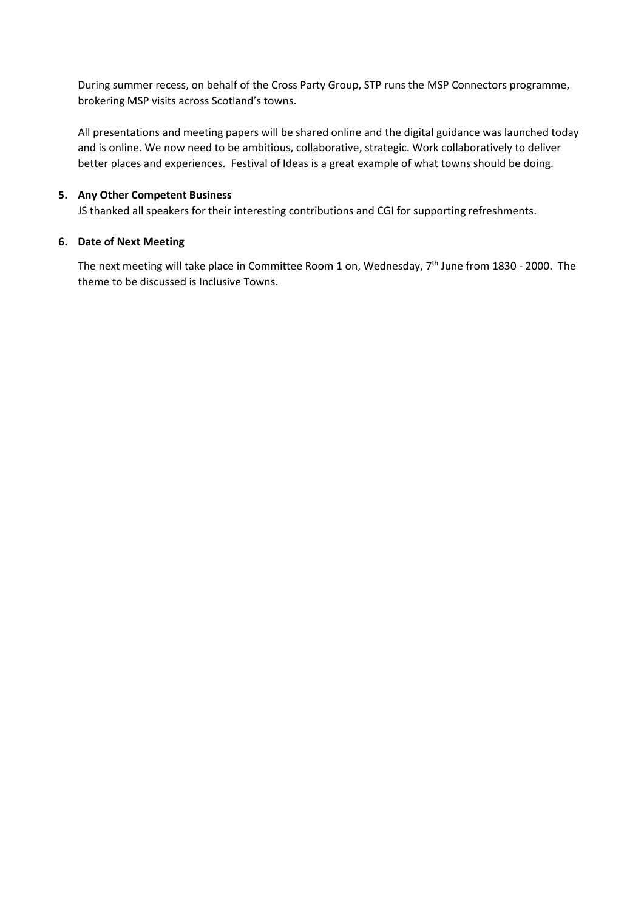During summer recess, on behalf of the Cross Party Group, STP runs the MSP Connectors programme, brokering MSP visits across Scotland's towns.

All presentations and meeting papers will be shared online and the digital guidance was launched today and is online. We now need to be ambitious, collaborative, strategic. Work collaboratively to deliver better places and experiences. Festival of Ideas is a great example of what towns should be doing.

#### **5. Any Other Competent Business**

JS thanked all speakers for their interesting contributions and CGI for supporting refreshments.

#### **6. Date of Next Meeting**

The next meeting will take place in Committee Room 1 on, Wednesday, 7<sup>th</sup> June from 1830 - 2000. The theme to be discussed is Inclusive Towns.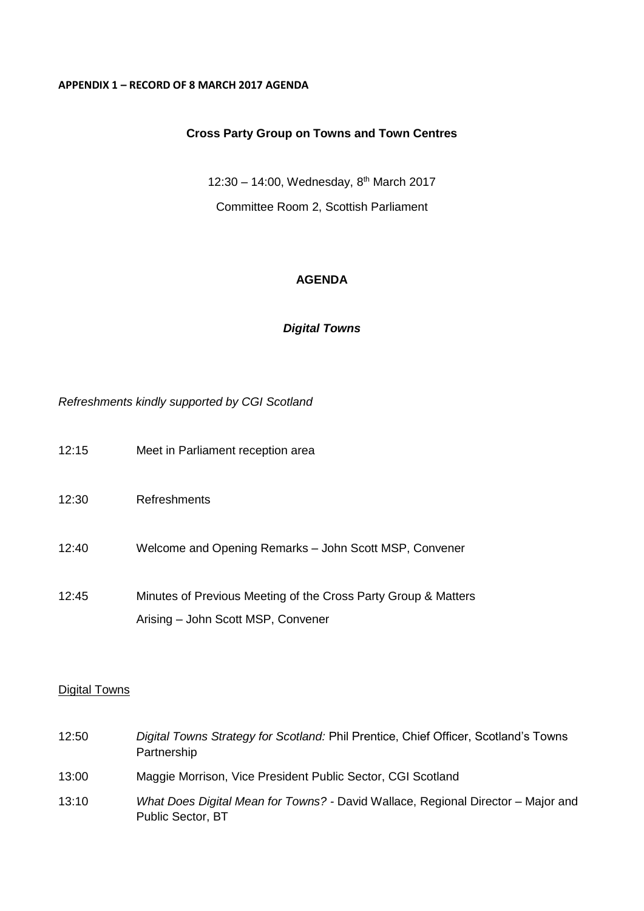## **APPENDIX 1 – RECORD OF 8 MARCH 2017 AGENDA**

# **Cross Party Group on Towns and Town Centres**

12:30 - 14:00, Wednesday, 8<sup>th</sup> March 2017 Committee Room 2, Scottish Parliament

# **AGENDA**

# *Digital Towns*

*Refreshments kindly supported by CGI Scotland*

| 12:15 | Meet in Parliament reception area                                                                    |
|-------|------------------------------------------------------------------------------------------------------|
| 12:30 | <b>Refreshments</b>                                                                                  |
| 12:40 | Welcome and Opening Remarks - John Scott MSP, Convener                                               |
| 12:45 | Minutes of Previous Meeting of the Cross Party Group & Matters<br>Arising - John Scott MSP, Convener |

# **Digital Towns**

| 12:50 | Digital Towns Strategy for Scotland: Phil Prentice, Chief Officer, Scotland's Towns<br>Partnership    |
|-------|-------------------------------------------------------------------------------------------------------|
| 13:00 | Maggie Morrison, Vice President Public Sector, CGI Scotland                                           |
| 13:10 | What Does Digital Mean for Towns? - David Wallace, Regional Director – Major and<br>Public Sector, BT |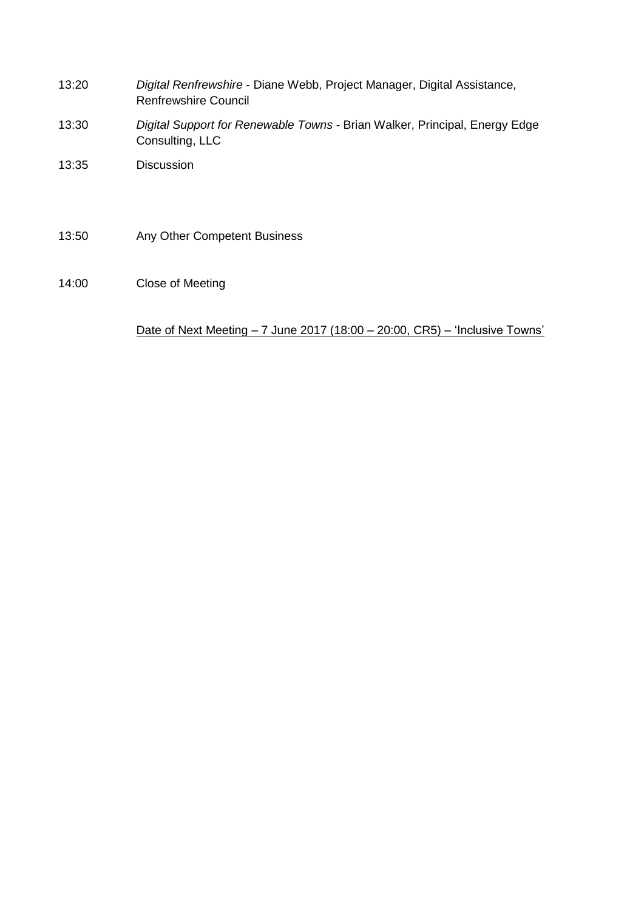- 13:20 *Digital Renfrewshire* Diane Webb, Project Manager, Digital Assistance, Renfrewshire Council
- 13:30 *Digital Support for Renewable Towns -* Brian Walker, Principal, Energy Edge Consulting, LLC
- 13:35 Discussion
- 13:50 Any Other Competent Business
- 14:00 Close of Meeting

Date of Next Meeting – 7 June 2017 (18:00 – 20:00, CR5) – 'Inclusive Towns'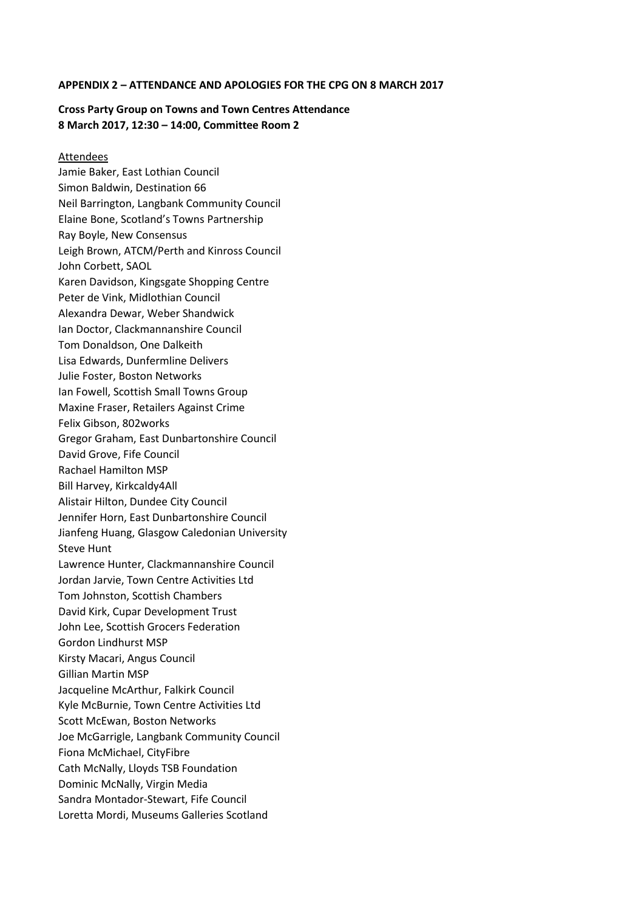#### **APPENDIX 2 – ATTENDANCE AND APOLOGIES FOR THE CPG ON 8 MARCH 2017**

#### **Cross Party Group on Towns and Town Centres Attendance 8 March 2017, 12:30 – 14:00, Committee Room 2**

#### Attendees

Jamie Baker, East Lothian Council Simon Baldwin, Destination 66 Neil Barrington, Langbank Community Council Elaine Bone, Scotland's Towns Partnership Ray Boyle, New Consensus Leigh Brown, ATCM/Perth and Kinross Council John Corbett, SAOL Karen Davidson, Kingsgate Shopping Centre Peter de Vink, Midlothian Council Alexandra Dewar, Weber Shandwick Ian Doctor, Clackmannanshire Council Tom Donaldson, One Dalkeith Lisa Edwards, Dunfermline Delivers Julie Foster, Boston Networks Ian Fowell, Scottish Small Towns Group Maxine Fraser, Retailers Against Crime Felix Gibson, 802works Gregor Graham, East Dunbartonshire Council David Grove, Fife Council Rachael Hamilton MSP Bill Harvey, Kirkcaldy4All Alistair Hilton, Dundee City Council Jennifer Horn, East Dunbartonshire Council Jianfeng Huang, Glasgow Caledonian University Steve Hunt Lawrence Hunter, Clackmannanshire Council Jordan Jarvie, Town Centre Activities Ltd Tom Johnston, Scottish Chambers David Kirk, Cupar Development Trust John Lee, Scottish Grocers Federation Gordon Lindhurst MSP Kirsty Macari, Angus Council Gillian Martin MSP Jacqueline McArthur, Falkirk Council Kyle McBurnie, Town Centre Activities Ltd Scott McEwan, Boston Networks Joe McGarrigle, Langbank Community Council Fiona McMichael, CityFibre Cath McNally, Lloyds TSB Foundation Dominic McNally, Virgin Media Sandra Montador-Stewart, Fife Council Loretta Mordi, Museums Galleries Scotland